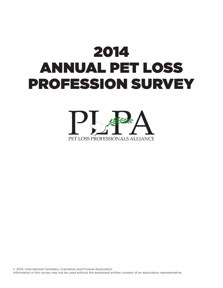# 2014 Annual Pet Loss Profession Survey

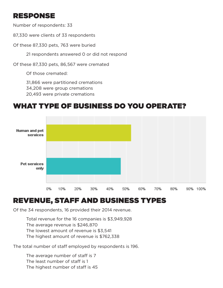### Response

Number of respondents: 33

87,330 were clients of 33 respondents

Of these 87,330 pets, 763 were buried

21 respondents answered 0 or did not respond

Of these 87,330 pets, 86,567 were cremated

Of those cremated:

- 31,866 were partitioned cremations
- 34,208 were group cremations
- 20,493 were private cremations

### What type of business do you operate?



## Revenue, Staff and Business Types

Of the 34 respondents, 16 provided their 2014 revenue.

Total revenue for the 16 companies is \$3,949,928 The average revenue is \$246,870 The lowest amount of revenue is \$3,541 The highest amount of revenue is \$762,338

The total number of staff employed by respondents is 196.

The average number of staff is 7 The least number of staff is 1 The highest number of staff is 45